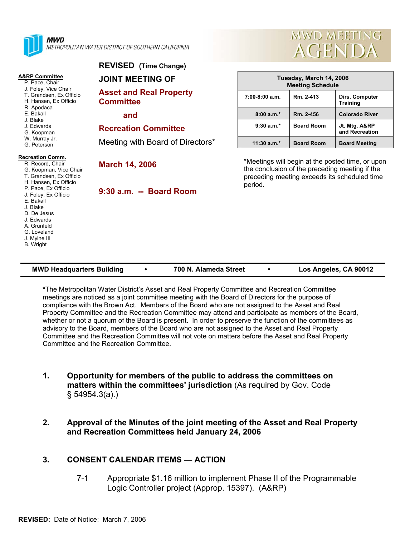

**MWD** METROPOLITAN WATER DISTRICT OF SOUTHERN CALIFORNIA

#### **A&RP Committee**

|  | סטווווווועט ווער |  |
|--|------------------|--|
|  | P. Pace, Chair   |  |

- J. Foley, Vice Chair
- T. Grandsen, Ex Officio H. Hansen, Ex Officio
- R. Apodaca
- E. Bakall
- J. Blake
- J. Edwards
- G. Koopman
- W. Murray Jr.
- G. Peterson

#### **Recreation Comm.**

#### R. Record, Chair G. Koopman, Vice Chair T. Grandsen, Ex Officio H. Hansen, Ex Officio P. Pace, Ex Officio J. Foley, Ex Officio E. Bakall

- J. Blake
- D. De Jesus
- J. Edwards
- A. Grunfeld
- G. Loveland
- J. Mylne III
- B. Wright

# **JOINT MEETING OF**

**REVISED (Time Change)** 

**Asset and Real Property Committee** 

 **and** 

## **Recreation Committee**

Meeting with Board of Directors\*

## **March 14, 2006**

**9:30 a.m. -- Board Room** 



| Tuesday, March 14, 2006<br><b>Meeting Schedule</b> |                   |                                   |  |  |  |
|----------------------------------------------------|-------------------|-----------------------------------|--|--|--|
| $7:00-8:00$ a.m.                                   | Rm. 2-413         | Dirs. Computer<br><b>Training</b> |  |  |  |
| $8:00a.m.*$                                        | Rm. 2-456         | <b>Colorado River</b>             |  |  |  |
| $9:30 a.m.*$                                       | <b>Board Room</b> | Jt. Mtg. A&RP<br>and Recreation   |  |  |  |
| $11:30$ a.m. <sup>*</sup>                          | <b>Board Room</b> | <b>Board Meeting</b>              |  |  |  |

\*Meetings will begin at the posted time, or upon the conclusion of the preceding meeting if the preceding meeting exceeds its scheduled time period.

| <b>MWD Headquarters Building</b> |  | 700 N. Alameda Street |  | Los Angeles, CA 90012 |
|----------------------------------|--|-----------------------|--|-----------------------|
|----------------------------------|--|-----------------------|--|-----------------------|

**\***The Metropolitan Water District's Asset and Real Property Committee and Recreation Committee meetings are noticed as a joint committee meeting with the Board of Directors for the purpose of compliance with the Brown Act. Members of the Board who are not assigned to the Asset and Real Property Committee and the Recreation Committee may attend and participate as members of the Board, whether or not a quorum of the Board is present. In order to preserve the function of the committees as advisory to the Board, members of the Board who are not assigned to the Asset and Real Property Committee and the Recreation Committee will not vote on matters before the Asset and Real Property Committee and the Recreation Committee.

- **1. Opportunity for members of the public to address the committees on matters within the committees' jurisdiction** (As required by Gov. Code § 54954.3(a).)
- **2. Approval of the Minutes of the joint meeting of the Asset and Real Property and Recreation Committees held January 24, 2006**

# **3. CONSENT CALENDAR ITEMS — ACTION**

7-1 Appropriate \$1.16 million to implement Phase II of the Programmable Logic Controller project (Approp. 15397). (A&RP)